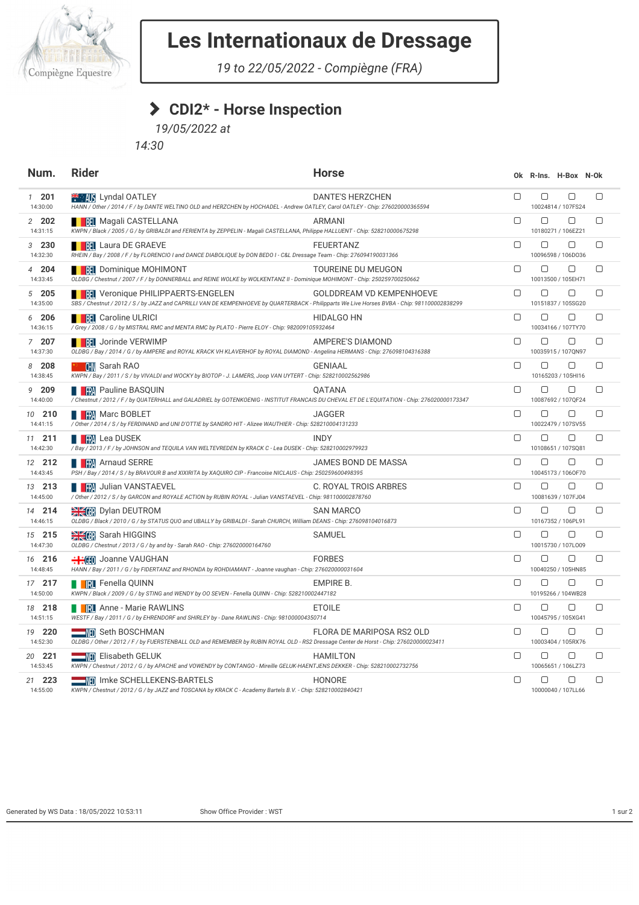

## **Les Internationaux de Dressage**

*19 to 22/05/2022 - Compiègne (FRA)*

## **CDI2\* - Horse Inspection**

*19/05/2022 at*

*14:30*

| Num.                      | <b>Rider</b>                                                                                                                                                                                                                              | <b>Horse</b>                     |        |        | Ok R-Ins. H-Box N-Ok         |        |
|---------------------------|-------------------------------------------------------------------------------------------------------------------------------------------------------------------------------------------------------------------------------------------|----------------------------------|--------|--------|------------------------------|--------|
| $1 \quad 201$<br>14:30:00 | <sup>₩</sup> MS Lyndal OATLEY<br>HANN / Other / 2014 / F / by DANTE WELTINO OLD and HERZCHEN by HOCHADEL - Andrew OATLEY, Carol OATLEY - Chip: 276020000365594                                                                            | <b>DANTE'S HERZCHEN</b>          | $\Box$ | О      | 0<br>10024814 / 107FS24      | $\Box$ |
| 2 202<br>14:31:15         | <b>BH</b> Magali CASTELLANA<br>KWPN / Black / 2005 / G / by GRIBALDI and FERIENTA by ZEPPELIN - Magali CASTELLANA, Philippe HALLUENT - Chip: 528210000675298                                                                              | <b>ARMANI</b>                    | $\Box$ | 0      | $\Box$<br>10180271 / 106EZ21 | $\Box$ |
| 3230<br>14:32:30          | <b>THE Laura DE GRAEVE</b><br>RHEIN / Bay / 2008 / F / by FLORENCIO I and DANCE DIABOLIQUE by DON BEDO I - C&L Dressage Team - Chip: 276094190031366                                                                                      | <b>FEUERTANZ</b>                 | $\Box$ | О      | 0<br>10096598 / 106D036      | $\Box$ |
| 4 204<br>14:33:45         | <b>BEE BEE SET IN STATE IN STATE SET IN STATE IN STATE IS A STATE IN STATE IS A STATE IS A STATE IS A ST</b><br>OLDBG / Chestnut / 2007 / F / by DONNERBALL and REINE WOLKE by WOLKENTANZ II - Dominique MOHIMONT - Chip: 250259700250662 | <b>TOUREINE DU MEUGON</b>        | $\Box$ | 0      | $\Box$<br>10013500 / 105EH71 | $\Box$ |
| 5205<br>14:35:00          | <b>FRI</b> Veronique PHILIPPAERTS-ENGELEN<br>SBS / Chestnut / 2012 / S / by JAZZ and CAPRILLI VAN DE KEMPENHOEVE by QUARTERBACK - Philipparts We Live Horses BVBA - Chip: 981100002838299                                                 | <b>GOLDDREAM VD KEMPENHOEVE</b>  | $\Box$ | $\Box$ | $\Box$<br>10151837 / 105SG20 | $\Box$ |
| 6 206<br>14:36:15         | <b>REL</b> Caroline ULRICI<br>/ Grey / 2008 / G / by MISTRAL RMC and MENTA RMC by PLATO - Pierre ELOY - Chip: 982009105932464                                                                                                             | <b>HIDALGO HN</b>                | 0      | О      | 0<br>10034166 / 107TY70      | $\Box$ |
| 7 207<br>14:37:30         | <b>A BELL</b> Jorinde VERWIMP<br>OLDBG / Bay / 2014 / G / by AMPERE and ROYAL KRACK VH KLAVERHOF by ROYAL DIAMOND - Angelina HERMANS - Chip: 276098104316388                                                                              | AMPERE'S DIAMOND                 | $\Box$ | 0      | $\Box$<br>10035915 / 107QN97 | $\Box$ |
| 8 208<br>14:38:45         | <b>CHN</b> Sarah RAO<br>91<br>KWPN / Bay / 2011 / S / by VIVALDI and WOCKY by BIOTOP - J. LAMERS, Joop VAN UYTERT - Chip: 528210002562986                                                                                                 | <b>GENIAAL</b>                   | $\Box$ | 0      | $\Box$<br>10165203 / 105HI16 | $\Box$ |
| 9 209<br>14:40:00         | <b>THE PART Pauline BASQUIN</b><br>/ Chestnut / 2012 / F / by QUATERHALL and GALADRIEL by GOTENKOENIG - INSTITUT FRANCAIS DU CHEVAL ET DE L'EQUITATION - Chip: 276020000173347                                                            | QATANA                           | $\Box$ | $\Box$ | $\Box$<br>10087692 / 107QF24 | $\Box$ |
| 10 <b>210</b><br>14:41:15 | <b>NEW Marc BOBLET</b><br>/ Other / 2014 / S / by FERDINAND and UNI D'OTTIE by SANDRO HIT - Alizee WAUTHIER - Chip: 528210004131233                                                                                                       | JAGGER                           | $\Box$ | $\Box$ | $\Box$<br>10022479 / 107SV55 | $\Box$ |
| 11 211<br>14:42:30        | <b>THE FRA</b> Lea DUSEK<br>/ Bay / 2013 / F / by JOHNSON and TEQUILA VAN WELTEVREDEN by KRACK C - Lea DUSEK - Chip: 528210002979923                                                                                                      | <b>INDY</b>                      | $\Box$ | ▢      | $\Box$<br>10108651 / 107SQ81 | $\Box$ |
| 12 212<br>14:43:45        | <b>DE RA</b> Arnaud SERRE<br>PSH / Bay / 2014 / S / by BRAVOUR B and XIXIRITA by XAQUIRO CIP - Francoise NICLAUS - Chip: 250259600498395                                                                                                  | JAMES BOND DE MASSA              | $\Box$ | 0      | $\Box$<br>10045173 / 106OF70 | $\Box$ |
| 13 213<br>14:45:00        | / Other / 2012 / S / by GARCON and ROYALE ACTION by RUBIN ROYAL - Julian VANSTAEVEL - Chip: 981100002878760                                                                                                                               | C. ROYAL TROIS ARBRES            | $\Box$ | 0      | 0<br>10081639 / 107FJ04      | 0      |
| 14 214<br>14:46:15        | <b>WEER</b> Dylan DEUTROM<br>OLDBG / Black / 2010 / G / by STATUS QUO and UBALLY by GRIBALDI - Sarah CHURCH, William DEANS - Chip: 276098104016873                                                                                        | <b>SAN MARCO</b>                 | $\Box$ | ▢      | $\Box$<br>10167352 / 106PL91 | $\Box$ |
| 15 215<br>14:47:30        | Sarah HIGGINS<br>OLDBG / Chestnut / 2013 / G / by and by - Sarah RAO - Chip: 276020000164760                                                                                                                                              | <b>SAMUEL</b>                    | $\Box$ | О      | $\Box$<br>10015730 / 107L009 | $\Box$ |
| 16 216<br>14:48:45        | HANN / Bay / 2011 / G / by FIDERTANZ and RHONDA by ROHDIAMANT - Joanne vaughan - Chip: 276020000031604                                                                                                                                    | <b>FORBES</b>                    | $\Box$ | ▢      | ∩<br>10040250 / 105HN85      | ∩      |
| 17 217<br>14:50:00        | <b>I RI</b> Fenella QUINN<br>KWPN / Black / 2009 / G / by STING and WENDY by OO SEVEN - Fenella QUINN - Chip: 528210002447182                                                                                                             | <b>EMPIRE B.</b>                 | $\Box$ | $\Box$ | $\Box$<br>10195266 / 104WB28 | $\Box$ |
| 18 218<br>14:51:15        | <b>NEXT Anne - Marie RAWLINS</b><br>WESTF / Bay / 2011 / G / by EHRENDORF and SHIRLEY by - Dane RAWLINS - Chip: 981000004350714                                                                                                           | <b>ETOILE</b>                    | $\Box$ | О      | $\Box$<br>10045795 / 105XG41 | $\Box$ |
| 19 220<br>14:52:30        | <b>WE Seth BOSCHMAN</b><br>OLDBG / Other / 2012 / F / by FUERSTENBALL OLD and REMEMBER by RUBIN ROYAL OLD - RS2 Dressage Center de Horst - Chip: 276020000023411                                                                          | <b>FLORA DE MARIPOSA RS2 OLD</b> | $\Box$ | О      | $\Box$<br>10003404 / 105RX76 | $\Box$ |
| 20 221<br>14:53:45        | <b>WED</b> Elisabeth GELUK<br>KWPN / Chestnut / 2012 / G / by APACHE and VOWENDY by CONTANGO - Mireille GELUK-HAENTJENS DEKKER - Chip: 528210002732756                                                                                    | <b>HAMILTON</b>                  | $\Box$ | О      | $\Box$<br>10065651 / 106LZ73 | $\Box$ |
| 21 223<br>14:55:00        | <b>ND</b> Imke SCHELLEKENS-BARTELS<br>KWPN / Chestnut / 2012 / G / by JAZZ and TOSCANA by KRACK C - Academy Bartels B.V. - Chip: 528210002840421                                                                                          | HONORE                           | $\Box$ | $\Box$ | $\Box$<br>10000040 / 107LL66 | $\Box$ |